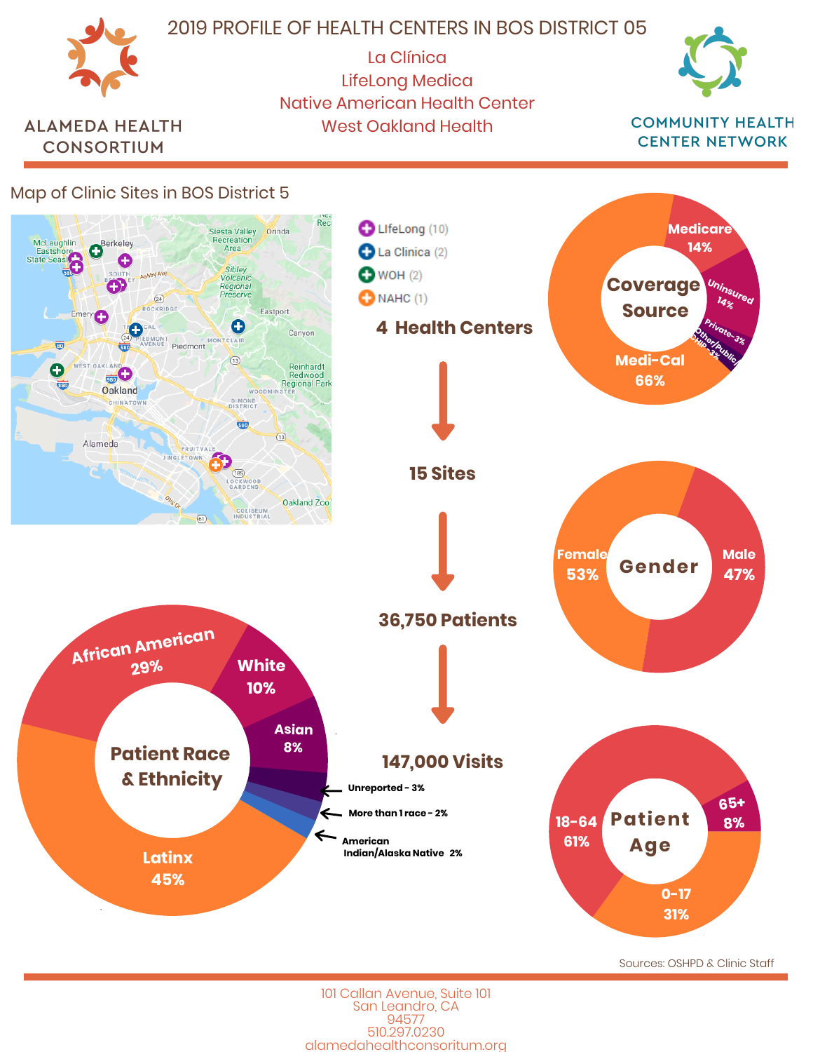

101 Callan Avenue, Suite 101 San Leandro, CA 94577 510.297.0230 alamedahealthconsoritum.org Sources: OSHPD & Clinic Staff